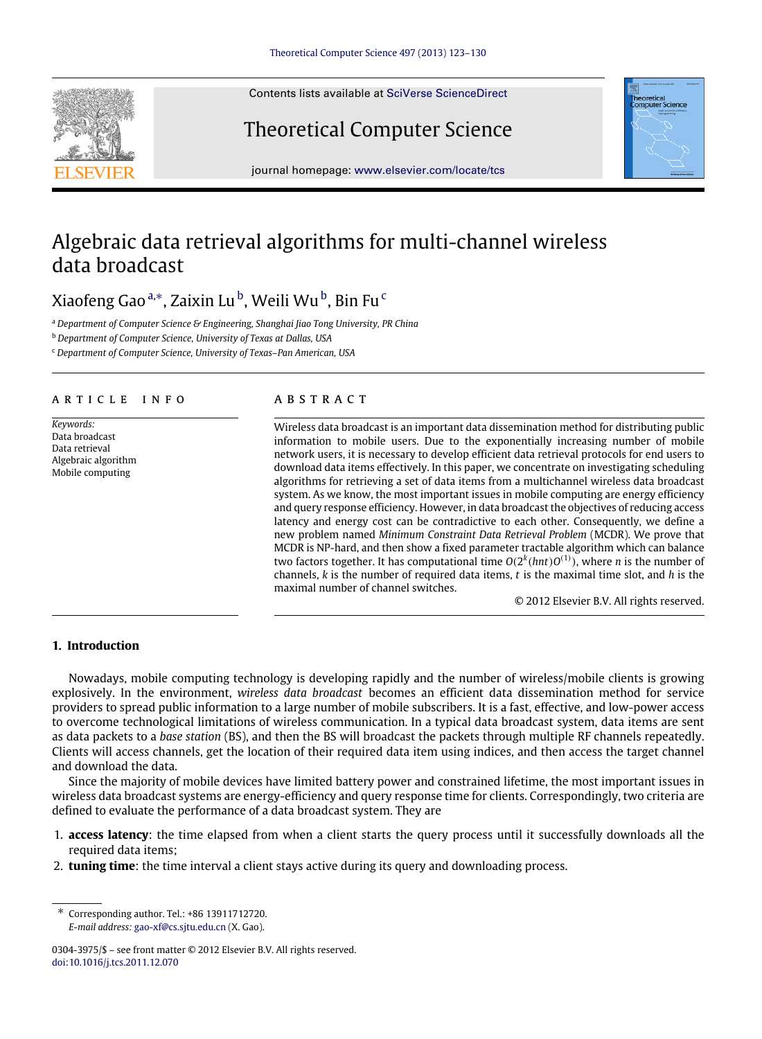Contents lists available at [SciVerse ScienceDirect](http://www.elsevier.com/locate/tcs)

## Theoretical Computer Science



journal homepage: [www.elsevier.com/locate/tcs](http://www.elsevier.com/locate/tcs)

# Algebraic data retrieval algorithms for multi-channel wireless data broadcast

## Xiaofeng Gao ª,\*, Zaixin Lu <sup>[b](#page-0-2)</sup>, Weili Wu <sup>b</sup>, Bin Fu <sup>[c](#page-0-3)</sup>

<span id="page-0-0"></span><sup>a</sup> *Department of Computer Science & Engineering, Shanghai Jiao Tong University, PR China*

<span id="page-0-2"></span><sup>b</sup> *Department of Computer Science, University of Texas at Dallas, USA*

<span id="page-0-3"></span><sup>c</sup> *Department of Computer Science, University of Texas–Pan American, USA*

## a r t i c l e i n f o

*Keywords:* Data broadcast Data retrieval Algebraic algorithm Mobile computing

## a b s t r a c t

Wireless data broadcast is an important data dissemination method for distributing public information to mobile users. Due to the exponentially increasing number of mobile network users, it is necessary to develop efficient data retrieval protocols for end users to download data items effectively. In this paper, we concentrate on investigating scheduling algorithms for retrieving a set of data items from a multichannel wireless data broadcast system. As we know, the most important issues in mobile computing are energy efficiency and query response efficiency. However, in data broadcast the objectives of reducing access latency and energy cost can be contradictive to each other. Consequently, we define a new problem named *Minimum Constraint Data Retrieval Problem* (MCDR). We prove that MCDR is NP-hard, and then show a fixed parameter tractable algorithm which can balance two factors together. It has computational time  $O(2^k (hnt)O^{(1)})$ , where *n* is the number of channels, *k* is the number of required data items, *t* is the maximal time slot, and *h* is the maximal number of channel switches.

© 2012 Elsevier B.V. All rights reserved.

## <span id="page-0-4"></span>**1. Introduction**

Nowadays, mobile computing technology is developing rapidly and the number of wireless/mobile clients is growing explosively. In the environment, *wireless data broadcast* becomes an efficient data dissemination method for service providers to spread public information to a large number of mobile subscribers. It is a fast, effective, and low-power access to overcome technological limitations of wireless communication. In a typical data broadcast system, data items are sent as data packets to a *base station* (BS), and then the BS will broadcast the packets through multiple RF channels repeatedly. Clients will access channels, get the location of their required data item using indices, and then access the target channel and download the data.

Since the majority of mobile devices have limited battery power and constrained lifetime, the most important issues in wireless data broadcast systems are energy-efficiency and query response time for clients. Correspondingly, two criteria are defined to evaluate the performance of a data broadcast system. They are

- 1. **access latency**: the time elapsed from when a client starts the query process until it successfully downloads all the required data items;
- 2. **tuning time**: the time interval a client stays active during its query and downloading process.

<span id="page-0-1"></span><sup>∗</sup> Corresponding author. Tel.: +86 13911712720. *E-mail address:* [gao-xf@cs.sjtu.edu.cn](mailto:gao-xf@cs.sjtu.edu.cn) (X. Gao).

<sup>0304-3975/\$ –</sup> see front matter © 2012 Elsevier B.V. All rights reserved. [doi:10.1016/j.tcs.2011.12.070](http://dx.doi.org/10.1016/j.tcs.2011.12.070)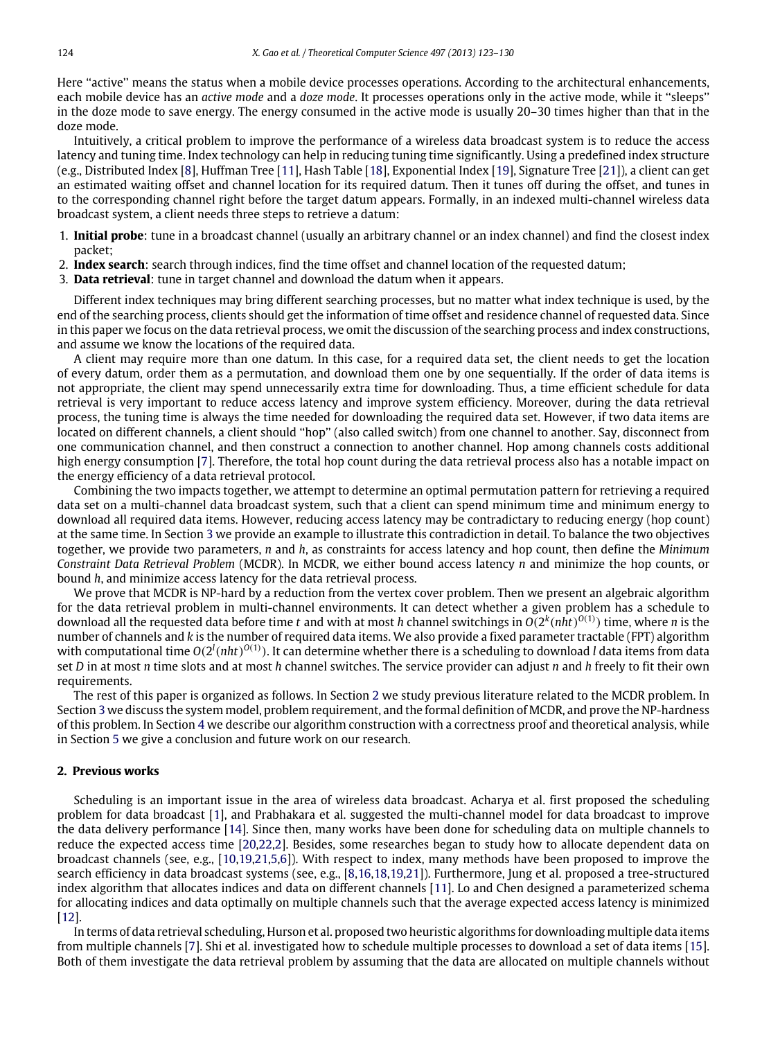Here "active" means the status when a mobile device processes operations. According to the architectural enhancements, each mobile device has an *active mode* and a *doze mode*. It processes operations only in the active mode, while it ''sleeps'' in the doze mode to save energy. The energy consumed in the active mode is usually 20–30 times higher than that in the doze mode.

Intuitively, a critical problem to improve the performance of a wireless data broadcast system is to reduce the access latency and tuning time. Index technology can help in reducing tuning time significantly. Using a predefined index structure (e.g., Distributed Index [\[8\]](#page-7-0), Huffman Tree [\[11\]](#page-7-1), Hash Table [\[18\]](#page-7-2), Exponential Index [\[19\]](#page-7-3), Signature Tree [\[21\]](#page-7-4)), a client can get an estimated waiting offset and channel location for its required datum. Then it tunes off during the offset, and tunes in to the corresponding channel right before the target datum appears. Formally, in an indexed multi-channel wireless data broadcast system, a client needs three steps to retrieve a datum:

- 1. **Initial probe**: tune in a broadcast channel (usually an arbitrary channel or an index channel) and find the closest index packet;
- 2. **Index search**: search through indices, find the time offset and channel location of the requested datum;
- 3. **Data retrieval**: tune in target channel and download the datum when it appears.

Different index techniques may bring different searching processes, but no matter what index technique is used, by the end of the searching process, clients should get the information of time offset and residence channel of requested data. Since in this paper we focus on the data retrieval process, we omit the discussion of the searching process and index constructions, and assume we know the locations of the required data.

A client may require more than one datum. In this case, for a required data set, the client needs to get the location of every datum, order them as a permutation, and download them one by one sequentially. If the order of data items is not appropriate, the client may spend unnecessarily extra time for downloading. Thus, a time efficient schedule for data retrieval is very important to reduce access latency and improve system efficiency. Moreover, during the data retrieval process, the tuning time is always the time needed for downloading the required data set. However, if two data items are located on different channels, a client should ''hop'' (also called switch) from one channel to another. Say, disconnect from one communication channel, and then construct a connection to another channel. Hop among channels costs additional high energy consumption [\[7\]](#page-7-5). Therefore, the total hop count during the data retrieval process also has a notable impact on the energy efficiency of a data retrieval protocol.

Combining the two impacts together, we attempt to determine an optimal permutation pattern for retrieving a required data set on a multi-channel data broadcast system, such that a client can spend minimum time and minimum energy to download all required data items. However, reducing access latency may be contradictary to reducing energy (hop count) at the same time. In Section [3](#page-2-0) we provide an example to illustrate this contradiction in detail. To balance the two objectives together, we provide two parameters, *n* and *h*, as constraints for access latency and hop count, then define the *Minimum Constraint Data Retrieval Problem* (MCDR). In MCDR, we either bound access latency *n* and minimize the hop counts, or bound *h*, and minimize access latency for the data retrieval process.

We prove that MCDR is NP-hard by a reduction from the vertex cover problem. Then we present an algebraic algorithm for the data retrieval problem in multi-channel environments. It can detect whether a given problem has a schedule to download all the requested data before time *t* and with at most *h* channel switchings in *O*(2 *k* (*nht*) *O*(1) ) time, where *n* is the number of channels and *k* is the number of required data items. We also provide a fixed parameter tractable (FPT) algorithm with computational time  $O(2^l(nht)^{O(1)})$ . It can determine whether there is a scheduling to download *l* data items from data set *D* in at most *n* time slots and at most *h* channel switches. The service provider can adjust *n* and *h* freely to fit their own requirements.

The rest of this paper is organized as follows. In Section [2](#page-1-0) we study previous literature related to the MCDR problem. In Section [3](#page-2-0) we discuss the system model, problem requirement, and the formal definition of MCDR, and prove the NP-hardness of this problem. In Section [4](#page-4-0) we describe our algorithm construction with a correctness proof and theoretical analysis, while in Section [5](#page-7-6) we give a conclusion and future work on our research.

## <span id="page-1-0"></span>**2. Previous works**

Scheduling is an important issue in the area of wireless data broadcast. Acharya et al. first proposed the scheduling problem for data broadcast [\[1\]](#page-7-7), and Prabhakara et al. suggested the multi-channel model for data broadcast to improve the data delivery performance [\[14\]](#page-7-8). Since then, many works have been done for scheduling data on multiple channels to reduce the expected access time [\[20](#page-7-9)[,22,](#page-7-10)[2\]](#page-7-11). Besides, some researches began to study how to allocate dependent data on broadcast channels (see, e.g., [\[10,](#page-7-12)[19](#page-7-3)[,21,](#page-7-4)[5](#page-7-13)[,6\]](#page-7-14)). With respect to index, many methods have been proposed to improve the search efficiency in data broadcast systems (see, e.g., [\[8,](#page-7-0)[16](#page-7-15)[,18,](#page-7-2)[19](#page-7-3)[,21\]](#page-7-4)). Furthermore, Jung et al. proposed a tree-structured index algorithm that allocates indices and data on different channels [\[11\]](#page-7-1). Lo and Chen designed a parameterized schema for allocating indices and data optimally on multiple channels such that the average expected access latency is minimized [\[12\]](#page-7-16).

In terms of data retrieval scheduling, Hurson et al. proposed two heuristic algorithms for downloading multiple data items from multiple channels [\[7\]](#page-7-5). Shi et al. investigated how to schedule multiple processes to download a set of data items [\[15\]](#page-7-17). Both of them investigate the data retrieval problem by assuming that the data are allocated on multiple channels without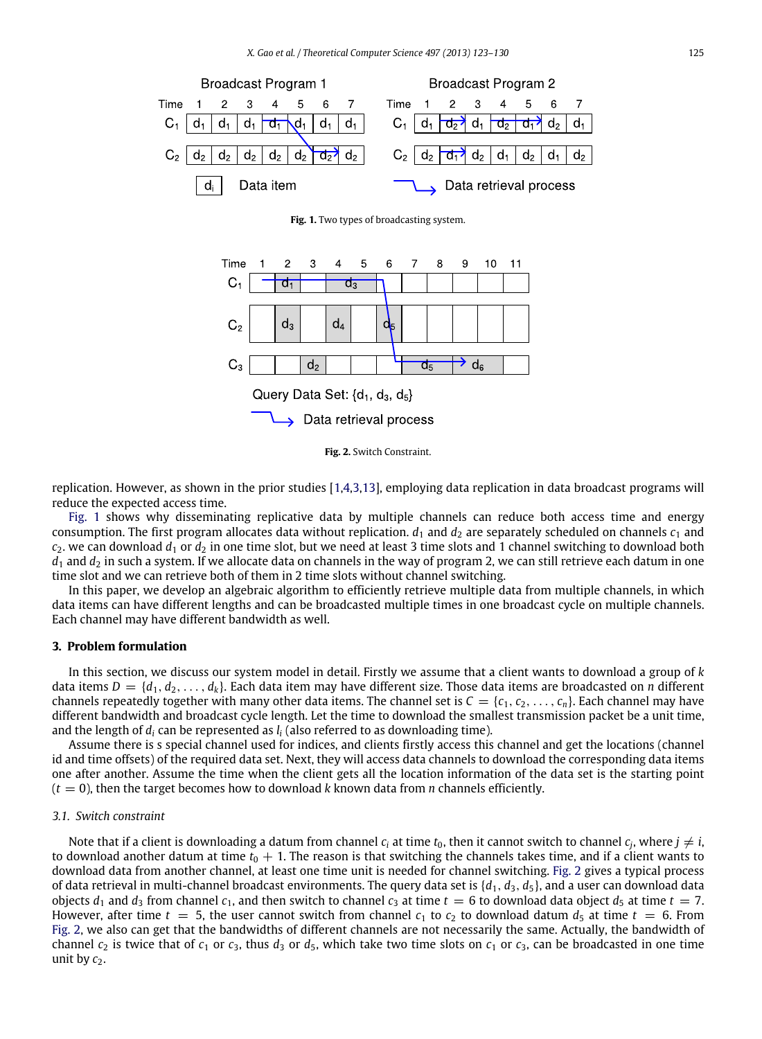<span id="page-2-1"></span>



<span id="page-2-2"></span>



replication. However, as shown in the prior studies [\[1](#page-7-7)[,4](#page-7-18)[,3,](#page-7-19)[13\]](#page-7-20), employing data replication in data broadcast programs will reduce the expected access time.

[Fig.](#page-2-1) [1](#page-2-1) shows why disseminating replicative data by multiple channels can reduce both access time and energy consumption. The first program allocates data without replication.  $d_1$  and  $d_2$  are separately scheduled on channels  $c_1$  and  $c_2$ , we can download  $d_1$  or  $d_2$  in one time slot, but we need at least 3 time slots and 1 channel switching to download both  $d_1$  and  $d_2$  in such a system. If we allocate data on channels in the way of program 2, we can still retrieve each datum in one time slot and we can retrieve both of them in 2 time slots without channel switching.

In this paper, we develop an algebraic algorithm to efficiently retrieve multiple data from multiple channels, in which data items can have different lengths and can be broadcasted multiple times in one broadcast cycle on multiple channels. Each channel may have different bandwidth as well.

#### <span id="page-2-0"></span>**3. Problem formulation**

In this section, we discuss our system model in detail. Firstly we assume that a client wants to download a group of *k* data items  $D = \{d_1, d_2, \ldots, d_k\}$ . Each data item may have different size. Those data items are broadcasted on *n* different channels repeatedly together with many other data items. The channel set is  $C = \{c_1, c_2, \ldots, c_n\}$ . Each channel may have different bandwidth and broadcast cycle length. Let the time to download the smallest transmission packet be a unit time, and the length of *d<sup>i</sup>* can be represented as *l<sup>i</sup>* (also referred to as downloading time).

Assume there is s special channel used for indices, and clients firstly access this channel and get the locations (channel id and time offsets) of the required data set. Next, they will access data channels to download the corresponding data items one after another. Assume the time when the client gets all the location information of the data set is the starting point  $(t = 0)$ , then the target becomes how to download *k* known data from *n* channels efficiently.

#### *3.1. Switch constraint*

Note that if a client is downloading a datum from channel  $c_i$  at time  $t_0$ , then it cannot switch to channel  $c_j$ , where  $j\neq i$ , to download another datum at time  $t_0 + 1$ . The reason is that switching the channels takes time, and if a client wants to download data from another channel, at least one time unit is needed for channel switching. [Fig.](#page-2-2) [2](#page-2-2) gives a typical process of data retrieval in multi-channel broadcast environments. The query data set is  $\{d_1, d_3, d_5\}$ , and a user can download data objects  $d_1$  and  $d_3$  from channel  $c_1$ , and then switch to channel  $c_3$  at time  $t = 6$  to download data object  $d_5$  at time  $t = 7$ . However, after time  $t = 5$ , the user cannot switch from channel  $c_1$  to  $c_2$  to download datum  $d_5$  at time  $t = 6$ . From [Fig.](#page-2-2) [2,](#page-2-2) we also can get that the bandwidths of different channels are not necessarily the same. Actually, the bandwidth of channel  $c_2$  is twice that of  $c_1$  or  $c_3$ , thus  $d_3$  or  $d_5$ , which take two time slots on  $c_1$  or  $c_3$ , can be broadcasted in one time unit by  $c_2$ .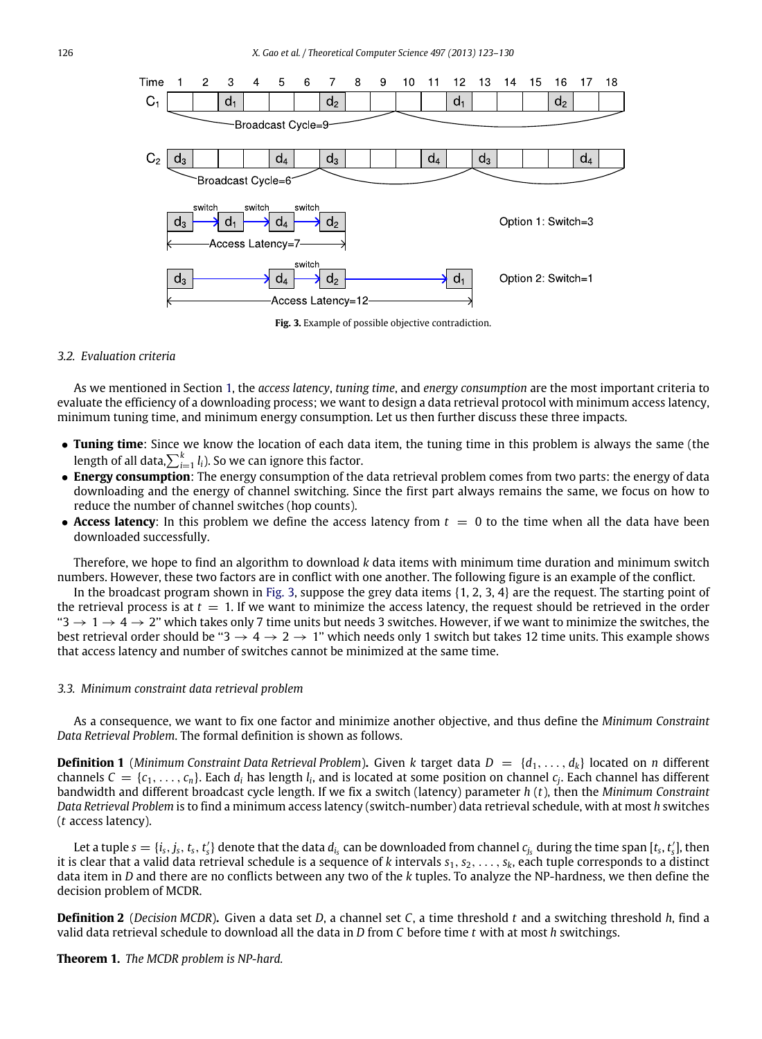<span id="page-3-0"></span>

**Fig. 3.** Example of possible objective contradiction.

#### *3.2. Evaluation criteria*

As we mentioned in Section [1,](#page-0-4) the *access latency*, *tuning time*, and *energy consumption* are the most important criteria to evaluate the efficiency of a downloading process; we want to design a data retrieval protocol with minimum access latency, minimum tuning time, and minimum energy consumption. Let us then further discuss these three impacts.

- **Tuning time**: Since we know the location of each data item, the tuning time in this problem is always the same (the length of all data, $\sum_{i=1}^k l_i$ ). So we can ignore this factor.
- **Energy consumption**: The energy consumption of the data retrieval problem comes from two parts: the energy of data downloading and the energy of channel switching. Since the first part always remains the same, we focus on how to reduce the number of channel switches (hop counts).
- **Access latency**: In this problem we define the access latency from  $t = 0$  to the time when all the data have been downloaded successfully.

Therefore, we hope to find an algorithm to download *k* data items with minimum time duration and minimum switch numbers. However, these two factors are in conflict with one another. The following figure is an example of the conflict.

In the broadcast program shown in [Fig.](#page-3-0) [3,](#page-3-0) suppose the grey data items {1, 2, 3, 4} are the request. The starting point of the retrieval process is at  $t = 1$ . If we want to minimize the access latency, the request should be retrieved in the order " $3 \to 1 \to 4 \to 2$ " which takes only 7 time units but needs 3 switches. However, if we want to minimize the switches, the best retrieval order should be " $3 \rightarrow 4 \rightarrow 2 \rightarrow 1$ " which needs only 1 switch but takes 12 time units. This example shows that access latency and number of switches cannot be minimized at the same time.

#### *3.3. Minimum constraint data retrieval problem*

As a consequence, we want to fix one factor and minimize another objective, and thus define the *Minimum Constraint Data Retrieval Problem*. The formal definition is shown as follows.

**Definition 1** (*Minimum Constraint Data Retrieval Problem*). Given *k* target data  $D = \{d_1, \ldots, d_k\}$  located on *n* different channels  $C = \{c_1, \ldots, c_n\}$ . Each  $d_i$  has length  $l_i$ , and is located at some position on channel  $c_j$ . Each channel has different bandwidth and different broadcast cycle length. If we fix a switch (latency) parameter *h* (*t*), then the *Minimum Constraint Data Retrieval Problem* is to find a minimum access latency (switch-number) data retrieval schedule, with at most *h* switches (*t* access latency).

Let a tuple  $s=\{i_s,j_s,t_s,t_s'\}$  denote that the data  $d_{i_s}$  can be downloaded from channel  $c_{j_s}$  during the time span [ $t_s,t_s'$ ], then it is clear that a valid data retrieval schedule is a sequence of *k* intervals  $s_1, s_2, \ldots, s_k$ , each tuple corresponds to a distinct data item in *D* and there are no conflicts between any two of the *k* tuples. To analyze the NP-hardness, we then define the decision problem of MCDR.

**Definition 2** (*Decision MCDR*)**.** Given a data set *D*, a channel set *C*, a time threshold *t* and a switching threshold *h*, find a valid data retrieval schedule to download all the data in *D* from *C* before time *t* with at most *h* switchings.

**Theorem 1.** *The MCDR problem is NP-hard.*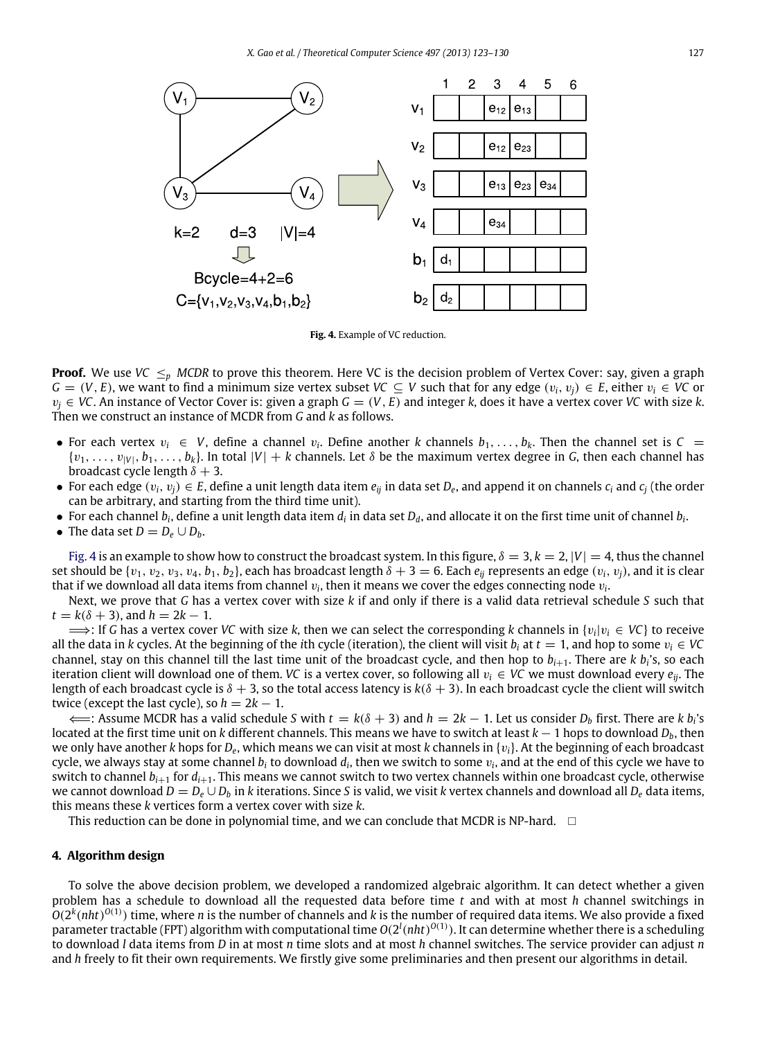<span id="page-4-1"></span>

**Fig. 4.** Example of VC reduction.

**Proof.** We use *VC*  $\leq_p$  *MCDR* to prove this theorem. Here *VC* is the decision problem of Vertex Cover: say, given a graph *G* = (*V*, *E*), we want to find a minimum size vertex subset *VC* ⊆ *V* such that for any edge  $(v_i, v_j) \in E$ , either  $v_i \in V$ C or  $v_i \in VC$ . An instance of Vector Cover is: given a graph  $G = (V, E)$  and integer k, does it have a vertex cover *VC* with size k. Then we construct an instance of MCDR from *G* and *k* as follows.

- For each vertex  $v_i \in V$ , define a channel  $v_i$ . Define another *k* channels  $b_1, \ldots, b_k$ . Then the channel set is  $C =$  $\{v_1, \ldots, v_{|V|}, b_1, \ldots, b_k\}$ . In total  $|V| + k$  channels. Let  $\delta$  be the maximum vertex degree in G, then each channel has broadcast cycle length  $\delta + 3$ .
- For each edge  $(v_i, v_j) \in E$ , define a unit length data item  $e_{ij}$  in data set  $D_e$ , and append it on channels  $c_i$  and  $c_j$  (the order can be arbitrary, and starting from the third time unit).
- $\bullet$  For each channel  $b_i$ , define a unit length data item  $d_i$  in data set  $D_d$ , and allocate it on the first time unit of channel  $b_i$ .
- The data set  $D = D_e \cup D_b$ .

[Fig.](#page-4-1) [4](#page-4-1) is an example to show how to construct the broadcast system. In this figure,  $\delta = 3$ ,  $k = 2$ ,  $|V| = 4$ , thus the channel set should be  $\{v_1, v_2, v_3, v_4, b_1, b_2\}$ , each has broadcast length  $\delta + 3 = 6$ . Each  $e_{ii}$  represents an edge  $(v_i, v_i)$ , and it is clear that if we download all data items from channel  $v_i$ , then it means we cover the edges connecting node  $v_i$ .

Next, we prove that *G* has a vertex cover with size *k* if and only if there is a valid data retrieval schedule *S* such that  $t = k(\delta + 3)$ , and  $h = 2k - 1$ .

 $\Longrightarrow$ : If *G* has a vertex cover *VC* with size *k*, then we can select the corresponding *k* channels in { $v_i|v_i \in VC$ } to receive all the data in *k* cycles. At the beginning of the *i*th cycle (iteration), the client will visit  $b_i$  at  $t = 1$ , and hop to some  $v_i \in VC$ channel, stay on this channel till the last time unit of the broadcast cycle, and then hop to *bi*+1. There are *k b<sup>i</sup>* 's, so each iteration client will download one of them. *VC* is a vertex cover, so following all v*<sup>i</sup>* ∈ *VC* we must download every *eij*. The length of each broadcast cycle is  $\delta + 3$ , so the total access latency is  $k(\delta + 3)$ . In each broadcast cycle the client will switch twice (except the last cycle), so  $h = 2k - 1$ .

⇐H: Assume MCDR has a valid schedule *S* with *t* = *k*(δ + 3) and *h* = 2*k* − 1. Let us consider *D<sup>b</sup>* first. There are *k b<sup>i</sup>* 's located at the first time unit on *k* different channels. This means we have to switch at least *k* − 1 hops to download *Db*, then we only have another *k* hops for *D<sup>e</sup>* , which means we can visit at most *k* channels in {v*i*}. At the beginning of each broadcast cycle, we always stay at some channel  $b_i$  to download  $d_i$ , then we switch to some  $v_i$ , and at the end of this cycle we have to switch to channel  $b_{i+1}$  for  $d_{i+1}$ . This means we cannot switch to two vertex channels within one broadcast cycle, otherwise we cannot download  $D = D_e \cup D_b$  in *k* iterations. Since *S* is valid, we visit *k* vertex channels and download all  $D_e$  data items, this means these *k* vertices form a vertex cover with size *k*.

This reduction can be done in polynomial time, and we can conclude that MCDR is NP-hard.  $\Box$ 

## <span id="page-4-0"></span>**4. Algorithm design**

To solve the above decision problem, we developed a randomized algebraic algorithm. It can detect whether a given problem has a schedule to download all the requested data before time *t* and with at most *h* channel switchings in  $O(2^k(nht)^{O(1)})$  time, where *n* is the number of channels and *k* is the number of required data items. We also provide a fixed parameter tractable (FPT) algorithm with computational time  $O(2^l (nht)^{O(1)})$ . It can determine whether there is a scheduling to download *l* data items from *D* in at most *n* time slots and at most *h* channel switches. The service provider can adjust *n* and *h* freely to fit their own requirements. We firstly give some preliminaries and then present our algorithms in detail.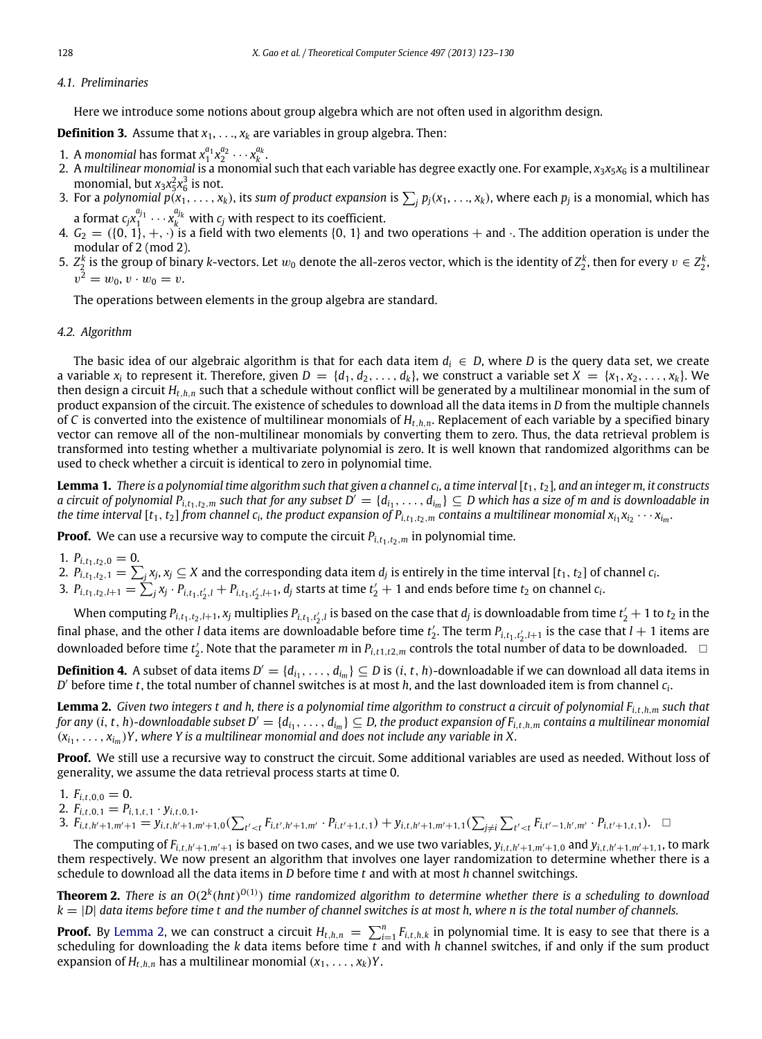## *4.1. Preliminaries*

Here we introduce some notions about group algebra which are not often used in algorithm design.

**Definition 3.** Assume that  $x_1, \ldots, x_k$  are variables in group algebra. Then:

- 1. A *monomial* has format  $x_1^{a_1}x_2^{a_2}\cdots x_k^{a_k}$ .
- 1 2 *k* 2. A *multilinear monomial* is a monomial such that each variable has degree exactly one. For example, *x*3*x*5*x*<sup>6</sup> is a multilinear monomial, but  $x_3x_5^2x_6^3$  is not.
- 3. For a polynomial  $p(x_1,\ldots,x_k)$ , its sum of product expansion is  $\sum_j p_j(x_1,\ldots,x_k)$ , where each  $p_j$  is a monomial, which has a format  $c_jx_1^{a_{j_1}}\cdots x_k^{a_{j_k}}$  with  $c_j$  with respect to its coefficient.
- 4.  $G_2=(\{0,1\},+,\cdot)$  is a field with two elements  $\{0,1\}$  and two operations  $+$  and  $\cdot$ . The addition operation is under the modular of 2 (mod 2).
- 5.  $Z_2^k$  is the group of binary *k*-vectors. Let  $w_0$  denote the all-zeros vector, which is the identity of  $Z_2^k$ , then for every  $v\in Z_2^k$ .  $v^2 = w_0, v \cdot w_0 = v.$

The operations between elements in the group algebra are standard.

### *4.2. Algorithm*

The basic idea of our algebraic algorithm is that for each data item  $d_i \in D$ , where *D* is the query data set, we create a variable  $x_i$  to represent it. Therefore, given  $D = \{d_1, d_2, \ldots, d_k\}$ , we construct a variable set  $X = \{x_1, x_2, \ldots, x_k\}$ . We then design a circuit *Ht*,*h*,*<sup>n</sup>* such that a schedule without conflict will be generated by a multilinear monomial in the sum of product expansion of the circuit. The existence of schedules to download all the data items in *D* from the multiple channels of *C* is converted into the existence of multilinear monomials of *Ht*,*h*,*n*. Replacement of each variable by a specified binary vector can remove all of the non-multilinear monomials by converting them to zero. Thus, the data retrieval problem is transformed into testing whether a multivariate polynomial is zero. It is well known that randomized algorithms can be used to check whether a circuit is identical to zero in polynomial time.

Lemma 1. *There is a polynomial time algorithm such that given a channel c<sub>i</sub>, a time interval [t<sub>1</sub>, t<sub>2</sub>], and an integer m, it constructs a circuit of polynomial*  $P_{i,t_1,t_2,m}$  *such that for any subset*  $D^{'}=\{d_{i_1},\ldots,d_{i_m}\}\subseteq D$  *which has a size of m and is downloadable in* the time interval  $[t_1,t_2]$  from channel  $c_i$ , the product expansion of  $P_{i,t_1,t_2,m}$  contains a multilinear monomial  $x_{i_1}x_{i_2}\cdots x_{i_m}$ .

**Proof.** We can use a recursive way to compute the circuit  $P_{i,t_1,t_2,m}$  in polynomial time.

1.  $P_{i,t_1,t_2,0} = 0$ .

- 2.  $P_{i,t_1,t_2,1} = \sum_j x_j$ ,  $x_j \subseteq X$  and the corresponding data item  $d_j$  is entirely in the time interval [ $t_1, t_2$ ] of channel  $c_i$ .
- 3.  $P_{i,t_1,t_2,l+1} = \sum_j x_j \cdot P_{i,t_1,t_2',l} + P_{i,t_1,t_2',l+1}, d_j$  starts at time  $t_2' + 1$  and ends before time  $t_2$  on channel  $c_i$ .

When computing  $P_{i,t_1,t_2,l+1}$ ,  $x_j$  multiplies  $P_{i,t_1,t_2',l}$  is based on the case that  $d_j$  is downloadable from time  $t_2'+1$  to  $t_2$  in the final phase, and the other *l* data items are downloadable before time  $t'_2$ . The term  $P_{i,t_1,t'_2,l+1}$  is the case that  $l+1$  items are downloaded before time  $t'_2$ . Note that the parameter *m* in  $P_{i,t1,t2,m}$  controls the total number of data to be downloaded.  $\Box$ 

**Definition 4.** A subset of data items  $D' = \{d_{i_1}, \ldots, d_{i_m}\} \subseteq D$  is  $(i, t, h)$ -downloadable if we can download all data items in *D* ′ before time *<sup>t</sup>*, the total number of channel switches is at most *<sup>h</sup>*, and the last downloaded item is from channel *<sup>c</sup><sup>i</sup>* .

<span id="page-5-0"></span>**Lemma 2.** *Given two integers t and h, there is a polynomial time algorithm to construct a circuit of polynomial Fi*,*t*,*h*,*<sup>m</sup> such that* for any (i, t, h)-downloadable subset  $D'=\{d_{i_1},\ldots,d_{i_m}\}\subseteq D$ , the product expansion of  $F_{i,t,h,m}$  contains a multilinear monomial  $(x_{i_1}, \ldots, x_{i_m})$ Y, where Y is a multilinear monomial and does not include any variable in X.

**Proof.** We still use a recursive way to construct the circuit. Some additional variables are used as needed. Without loss of generality, we assume the data retrieval process starts at time 0.

- 1.  $F_{i,t,0,0} = 0$ .
- 2.  $F_{i,t,0,1} = P_{i,1,t,1} \cdot y_{i,t,0,1}$ .
- 3.  $F_{i,t,h'+1,m'+1} = y_{i,t,h'+1,m'+1,0}(\sum_{t'$

The computing of  $F_{i,t,h'+1,m'+1}$  is based on two cases, and we use two variables,  $y_{i,t,h'+1,m'+1,0}$  and  $y_{i,t,h'+1,m'+1,1}$ , to mark them respectively. We now present an algorithm that involves one layer randomization to determine whether there is a schedule to download all the data items in *D* before time *t* and with at most *h* channel switchings.

**Theorem 2.** There is an  $O(2^k(hnt)^{O(1)})$  time randomized algorithm to determine whether there is a scheduling to download *k* = |*D*| *data items before time t and the number of channel switches is at most h, where n is the total number of channels.*

**Proof.** By [Lemma](#page-5-0) [2,](#page-5-0) we can construct a circuit  $H_{t,h,n} = \sum_{i=1}^{n} F_{i,t,h,k}$  in polynomial time. It is easy to see that there is a scheduling for downloading the *k* data items before time *t* and with *h* channel switches, if and only if the sum product expansion of  $H_{t,h,n}$  has a multilinear monomial  $(x_1, \ldots, x_k)Y$ .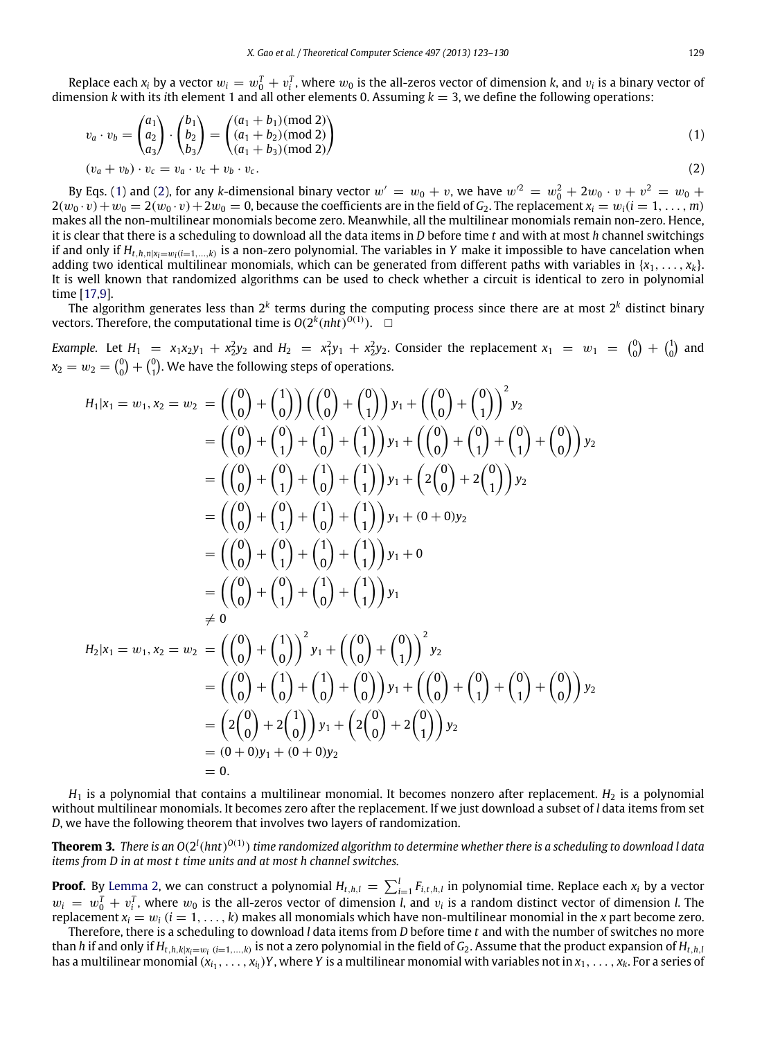Replace each  $x_i$  by a vector  $w_i = w_0^T + v_i^T$ , where  $w_0$  is the all-zeros vector of dimension  $k$ , and  $v_i$  is a binary vector of dimension *k* with its *i*th element 1 and all other elements 0. Assuming  $k = 3$ , we define the following operations:

<span id="page-6-1"></span><span id="page-6-0"></span>
$$
v_a \cdot v_b = \begin{pmatrix} a_1 \\ a_2 \\ a_3 \end{pmatrix} \cdot \begin{pmatrix} b_1 \\ b_2 \\ b_3 \end{pmatrix} = \begin{pmatrix} (a_1 + b_1) \text{ (mod 2)} \\ (a_1 + b_2) \text{ (mod 2)} \\ (a_1 + b_3) \text{ (mod 2)} \end{pmatrix}
$$
 (1)

$$
(v_a + v_b) \cdot v_c = v_a \cdot v_c + v_b \cdot v_c. \tag{2}
$$

By Eqs. [\(1\)](#page-6-0) and [\(2\)](#page-6-1), for any *k*-dimensional binary vector  $w' = w_0 + v$ , we have  $w'^2 = w_0^2 + 2w_0 \cdot v + v^2 = w_0 + v$  $2(w_0 \cdot v) + w_0 = 2(w_0 \cdot v) + 2w_0 = 0$ , because the coefficients are in the field of *G*<sub>2</sub>. The replacement  $x_i = w_i (i = 1, \ldots, m)$ makes all the non-multilinear monomials become zero. Meanwhile, all the multilinear monomials remain non-zero. Hence, it is clear that there is a scheduling to download all the data items in *D* before time *t* and with at most *h* channel switchings if and only if  $H_{t,h,n|x_i=w_i(i=1,...,k)}$  is a non-zero polynomial. The variables in Y make it impossible to have cancelation when adding two identical multilinear monomials, which can be generated from different paths with variables in  $\{x_1, \ldots, x_k\}$ . It is well known that randomized algorithms can be used to check whether a circuit is identical to zero in polynomial time [\[17](#page-7-21)[,9\]](#page-7-22).

The algorithm generates less than 2*<sup>k</sup>* terms during the computing process since there are at most 2*<sup>k</sup>* distinct binary vectors. Therefore, the computational time is  $O(2^k(nht)^{O(1)})$ .  $\Box$ 

*Example.* Let  $H_1 = x_1x_2y_1 + x_2^2y_2$  and  $H_2 = x_1^2y_1 + x_2^2y_2$ . Consider the replacement  $x_1 = w_1 = \binom{0}{0} + \binom{1}{0}$  and  $x_2 = w_2 = {0 \choose 0} + {0 \choose 1}$ . We have the following steps of operations.

$$
H_1|x_1 = w_1, x_2 = w_2 = \left(\binom{0}{0} + \binom{1}{0}\right) \left(\binom{0}{0} + \binom{0}{1}\right) y_1 + \left(\binom{0}{0} + \binom{0}{1}\right)^2 y_2
$$
  
\n
$$
= \left(\binom{0}{0} + \binom{0}{1} + \binom{1}{0} + \binom{1}{1}\right) y_1 + \left(\binom{0}{0} + \binom{0}{1} + \binom{0}{1}\right) y_2
$$
  
\n
$$
= \left(\binom{0}{0} + \binom{0}{1} + \binom{1}{0} + \binom{1}{1}\right) y_1 + \left(2\binom{0}{0} + 2\binom{0}{1}\right) y_2
$$
  
\n
$$
= \left(\binom{0}{0} + \binom{0}{1} + \binom{1}{0} + \binom{1}{1}\right) y_1 + \left(0 + 0 \right) y_2
$$
  
\n
$$
= \left(\binom{0}{0} + \binom{0}{1} + \binom{1}{0} + \binom{1}{1}\right) y_1 + 0
$$
  
\n
$$
= \left(\binom{0}{0} + \binom{0}{1} + \binom{1}{0} + \binom{1}{1}\right) y_1
$$
  
\n
$$
\neq 0
$$
  
\n
$$
H_2|x_1 = w_1, x_2 = w_2 = \left(\binom{0}{0} + \binom{1}{0}\right)^2 y_1 + \left(\binom{0}{0} + \binom{0}{1}\right)^2 y_2
$$
  
\n
$$
= \left(\binom{0}{0} + \binom{1}{0} + \binom{1}{0}\right) y_1 + \left(\binom{0}{0} + \binom{0}{1} + \binom{0}{1}\right) y_2
$$
  
\n
$$
= \left(2\binom{0}{0} + 2\binom{1}{1}\right) y_1 + \left(2\binom{0}{0} + 2\binom{0}{1}\right) y_2
$$
  
\n
$$
= (0 + 0)y_1 + (0 + 0)y_2
$$
  
\n
$$
= 0.
$$

 $H_1$  is a polynomial that contains a multilinear monomial. It becomes nonzero after replacement.  $H_2$  is a polynomial without multilinear monomials. It becomes zero after the replacement. If we just download a subset of *l* data items from set *D*, we have the following theorem that involves two layers of randomization.

**Theorem 3.** There is an O(2 $^l$ (hnt)<sup>O(1)</sup>) time randomized algorithm to determine whether there is a scheduling to download l data *items from D in at most t time units and at most h channel switches.*

**Proof.** By [Lemma](#page-5-0) [2,](#page-5-0) we can construct a polynomial  $H_{t,h,l} = \sum_{i=1}^l F_{i,t,h,l}$  in polynomial time. Replace each  $x_i$  by a vector  $w_i = w_0^T + v_i^T$ , where  $w_0$  is the all-zeros vector of dimension *l*, and  $v_i$  is a random distinct vector of dimension *l*. The replacement  $x_i = w_i$  ( $i = 1, \ldots, k$ ) makes all monomials which have non-multilinear monomial in the *x* part become zero.

Therefore, there is a scheduling to download *l* data items from *D* before time *t* and with the number of switches no more than h if and only if  $H_{t,h,k|x_i=w_i\;(i=1,...,k)}$  is not a zero polynomial in the field of  $G_2.$  Assume that the product expansion of  $H_{t,h,l}$ has a multilinear monomial  $(x_{i_1},\ldots,x_{i_l})$ Y, where Y is a multilinear monomial with variables not in  $x_1,\ldots,x_k.$  For a series of